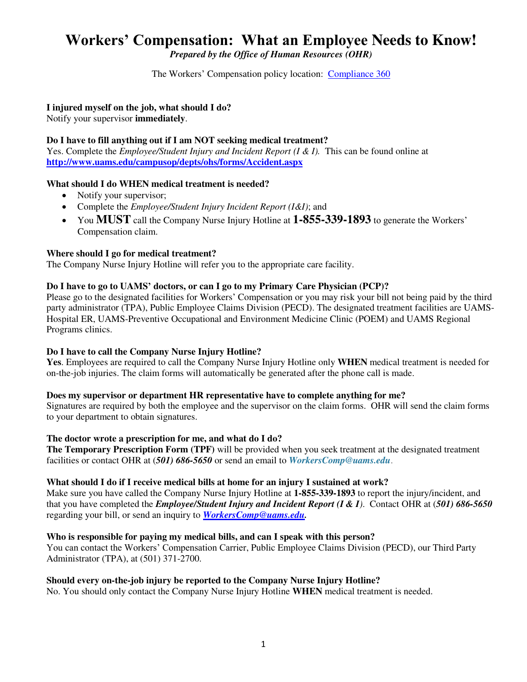# **Workers' Compensation: What an Employee Needs to Know!**

*Prepared by the Office of Human Resources (OHR)* 

The Workers' Compensation policy location: [Compliance 360](https://inside.uams.edu/compliance/uams-policies/) 

# **I injured myself on the job, what should I do?**

Notify your supervisor **immediately**.

# **Do I have to fill anything out if I am NOT seeking medical treatment?**

Yes. Complete the *Employee/Student Injury and Incident Report (I & I)*. This can be found online at **<http://www.uams.edu/campusop/depts/ohs/forms/Accident.aspx>**

# **What should I do WHEN medical treatment is needed?**

- Notify your supervisor;
- Complete the *Employee/Student Injury Incident Report (I&I)*; and
- You **MUST** call the Company Nurse Injury Hotline at **1-855-339-1893** to generate the Workers' Compensation claim.

# **Where should I go for medical treatment?**

The Company Nurse Injury Hotline will refer you to the appropriate care facility.

# **Do I have to go to UAMS' doctors, or can I go to my Primary Care Physician (PCP)?**

Please go to the designated facilities for Workers' Compensation or you may risk your bill not being paid by the third party administrator (TPA), Public Employee Claims Division (PECD). The designated treatment facilities are UAMS-Hospital ER, UAMS-Preventive Occupational and Environment Medicine Clinic (POEM) and UAMS Regional Programs clinics.

## **Do I have to call the Company Nurse Injury Hotline?**

**Yes**. Employees are required to call the Company Nurse Injury Hotline only **WHEN** medical treatment is needed for on-the-job injuries. The claim forms will automatically be generated after the phone call is made.

## **Does my supervisor or department HR representative have to complete anything for me?**

Signatures are required by both the employee and the supervisor on the claim forms. OHR will send the claim forms to your department to obtain signatures.

## **The doctor wrote a prescription for me, and what do I do?**

**The Temporary Prescription Form (TPF)** will be provided when you seek treatment at the designated treatment facilities or contact OHR at (*501) 686-5650* or send an email to *[WorkersComp@uams.edu](mailto:WorkersComp@uams.edu)*.

## **What should I do if I receive medical bills at home for an injury I sustained at work?**

Make sure you have called the Company Nurse Injury Hotline at **1-855-339-1893** to report the injury/incident, and that you have completed the *Employee/Student Injury and Incident Report (I & I)*. Contact OHR at (*501) 686-5650* regarding your bill, or send an inquiry to *[WorkersComp@uams.edu.](mailto:WorkersComp@uams.edu)*

# **Who is responsible for paying my medical bills, and can I speak with this person?**

You can contact the Workers' Compensation Carrier, Public Employee Claims Division (PECD), our Third Party Administrator (TPA), at (501) 371-2700.

# **Should every on-the-job injury be reported to the Company Nurse Injury Hotline?**

No. You should only contact the Company Nurse Injury Hotline **WHEN** medical treatment is needed.